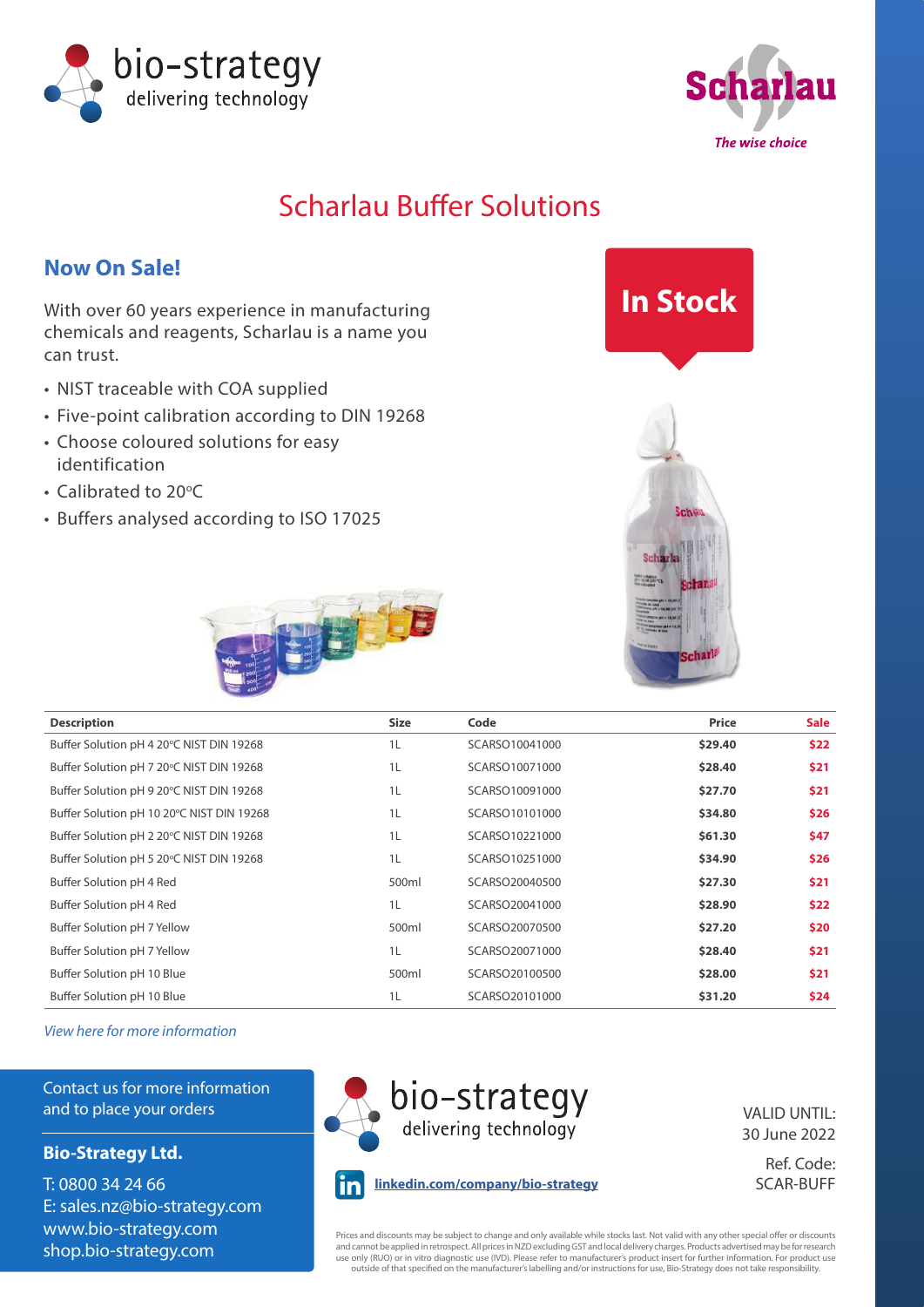



### Scharlau Buffer Solutions

### **Now On Sale!**

With over 60 years experience in manufacturing chemicals and reagents, Scharlau is a name you can trust.

- NIST traceable with COA supplied
- Five-point calibration according to DIN 19268
- Choose coloured solutions for easy identification
- Calibrated to 20°C
- Buffers analysed according to ISO 17025







| <b>Description</b>                        | <b>Size</b> | Code           | Price   | <b>Sale</b> |
|-------------------------------------------|-------------|----------------|---------|-------------|
| Buffer Solution pH 4 20°C NIST DIN 19268  | 1L          | SCARSO10041000 | \$29.40 | \$22        |
| Buffer Solution pH 7 20°C NIST DIN 19268  | 1L          | SCARSO10071000 | \$28.40 | \$21        |
| Buffer Solution pH 9 20°C NIST DIN 19268  | 1L          | SCARSO10091000 | \$27.70 | \$21        |
| Buffer Solution pH 10 20°C NIST DIN 19268 | 1L          | SCARSO10101000 | \$34.80 | \$26        |
| Buffer Solution pH 2 20°C NIST DIN 19268  | 1L          | SCARSO10221000 | \$61.30 | \$47        |
| Buffer Solution pH 5 20°C NIST DIN 19268  | 1L          | SCARSO10251000 | \$34.90 | \$26        |
| Buffer Solution pH 4 Red                  | 500ml       | SCARSO20040500 | \$27.30 | \$21        |
| Buffer Solution pH 4 Red                  | 1L          | SCARSO20041000 | \$28.90 | \$22        |
| Buffer Solution pH 7 Yellow               | 500ml       | SCARSO20070500 | \$27.20 | \$20        |
| Buffer Solution pH 7 Yellow               | 1L          | SCARSO20071000 | \$28.40 | \$21        |
| Buffer Solution pH 10 Blue                | 500ml       | SCARSO20100500 | \$28.00 | \$21        |
| Buffer Solution pH 10 Blue                | 1L          | SCARSO20101000 | \$31.20 | \$24        |

*[View here for more information](https://www.bio-strategy.com/site/bio-strategy-nz/files/Supplier_Subs/SupplierSubs_0420/SCAR/3_SCAR_Buffer_solutions_pH_V4.pdf)*

Contact us for more information and to place your orders

#### **Bio-Strategy Ltd.**

T: 0800 34 24 66 E: [sales.nz@bio-strategy.com](mailto:sales.nz%40bio-strategy.com%20?subject=)  [www.bio-strategy.com](https://www.bio-strategy.com) [shop.bio-strategy.com](https://shop.bio-strategy.com)



VALID UNTIL: 30 June 2022

Ref. Code:  **linkedin.com/company/bio-strategy** SCAR-BUFF

Prices and discounts may be subject to change and only available while stocks last. Not valid with any other special offer or discounts<br>and cannot be applied in retrospect. All prices in NZD excluding GST and local deliver use only (RUO) or in vitro diagnostic use (IVD). Please refer to manufacturer's product insert for further information. For product use<br>outside of that specified on the manufacturer's labelling and/or instructions for use,